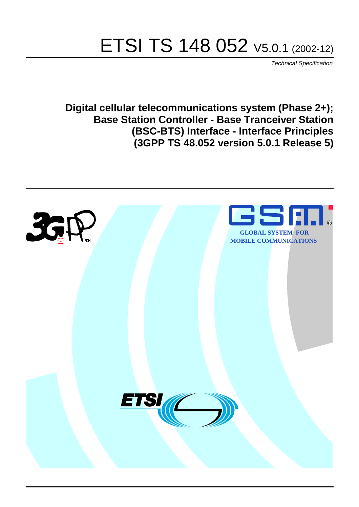# ETSI TS 148 052 V5.0.1 (2002-12)

Technical Specification

**Digital cellular telecommunications system (Phase 2+); Base Station Controller - Base Tranceiver Station (BSC-BTS) Interface - Interface Principles (3GPP TS 48.052 version 5.0.1 Release 5)**

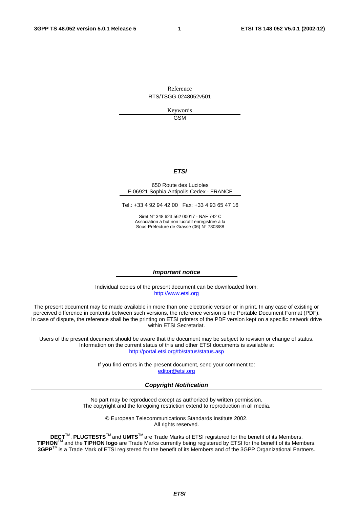Reference RTS/TSGG-0248052v501

> Keywords GSM

#### **ETSI**

#### 650 Route des Lucioles F-06921 Sophia Antipolis Cedex - FRANCE

Tel.: +33 4 92 94 42 00 Fax: +33 4 93 65 47 16

Siret N° 348 623 562 00017 - NAF 742 C Association à but non lucratif enregistrée à la Sous-Préfecture de Grasse (06) N° 7803/88

#### **Important notice**

Individual copies of the present document can be downloaded from: [http://www.etsi.org](http://www.etsi.org/)

The present document may be made available in more than one electronic version or in print. In any case of existing or perceived difference in contents between such versions, the reference version is the Portable Document Format (PDF). In case of dispute, the reference shall be the printing on ETSI printers of the PDF version kept on a specific network drive within ETSI Secretariat.

Users of the present document should be aware that the document may be subject to revision or change of status. Information on the current status of this and other ETSI documents is available at <http://portal.etsi.org/tb/status/status.asp>

> If you find errors in the present document, send your comment to: [editor@etsi.org](mailto:editor@etsi.org)

#### **Copyright Notification**

No part may be reproduced except as authorized by written permission. The copyright and the foregoing restriction extend to reproduction in all media.

> © European Telecommunications Standards Institute 2002. All rights reserved.

**DECT**TM, **PLUGTESTS**TM and **UMTS**TM are Trade Marks of ETSI registered for the benefit of its Members. **TIPHON**TM and the **TIPHON logo** are Trade Marks currently being registered by ETSI for the benefit of its Members. **3GPP**TM is a Trade Mark of ETSI registered for the benefit of its Members and of the 3GPP Organizational Partners.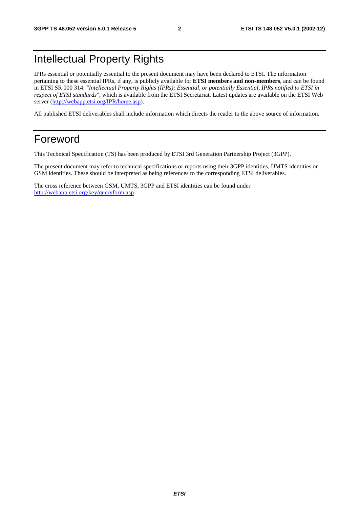# Intellectual Property Rights

IPRs essential or potentially essential to the present document may have been declared to ETSI. The information pertaining to these essential IPRs, if any, is publicly available for **ETSI members and non-members**, and can be found in ETSI SR 000 314: *"Intellectual Property Rights (IPRs); Essential, or potentially Essential, IPRs notified to ETSI in respect of ETSI standards"*, which is available from the ETSI Secretariat. Latest updates are available on the ETSI Web server ([http://webapp.etsi.org/IPR/home.asp\)](http://webapp.etsi.org/IPR/home.asp).

All published ETSI deliverables shall include information which directs the reader to the above source of information.

# Foreword

This Technical Specification (TS) has been produced by ETSI 3rd Generation Partnership Project (3GPP).

The present document may refer to technical specifications or reports using their 3GPP identities, UMTS identities or GSM identities. These should be interpreted as being references to the corresponding ETSI deliverables.

The cross reference between GSM, UMTS, 3GPP and ETSI identities can be found under <http://webapp.etsi.org/key/queryform.asp>.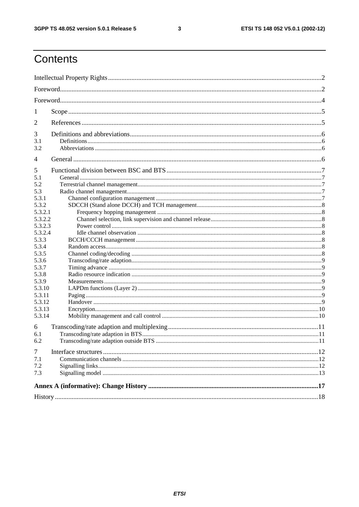$\mathbf{3}$ 

# Contents

| 1                                                                                                                                                                                           |  |  |  |  |
|---------------------------------------------------------------------------------------------------------------------------------------------------------------------------------------------|--|--|--|--|
| 2                                                                                                                                                                                           |  |  |  |  |
| 3<br>3.1<br>3.2                                                                                                                                                                             |  |  |  |  |
| 4                                                                                                                                                                                           |  |  |  |  |
| 5<br>5.1<br>5.2<br>5.3<br>5.3.1<br>5.3.2<br>5.3.2.1<br>5.3.2.2<br>5.3.2.3<br>5.3.2.4<br>5.3.3<br>5.3.4<br>5.3.5<br>5.3.6<br>5.3.7<br>5.3.8<br>5.3.9<br>5.3.10<br>5.3.11<br>5.3.12<br>5.3.13 |  |  |  |  |
| 5.3.14                                                                                                                                                                                      |  |  |  |  |
| 6<br>6.1<br>6.2                                                                                                                                                                             |  |  |  |  |
| $\tau$<br>7.1<br>7.2<br>7.3                                                                                                                                                                 |  |  |  |  |
|                                                                                                                                                                                             |  |  |  |  |
|                                                                                                                                                                                             |  |  |  |  |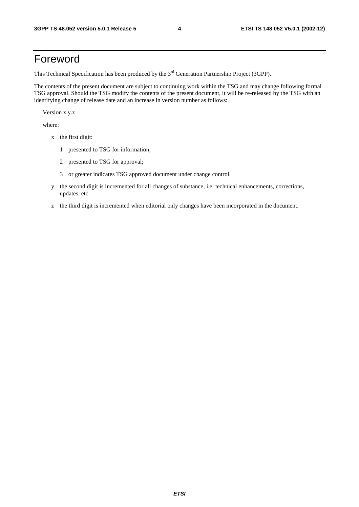# Foreword

This Technical Specification has been produced by the 3<sup>rd</sup> Generation Partnership Project (3GPP).

The contents of the present document are subject to continuing work within the TSG and may change following formal TSG approval. Should the TSG modify the contents of the present document, it will be re-released by the TSG with an identifying change of release date and an increase in version number as follows:

Version x.y.z

where:

- x the first digit:
	- 1 presented to TSG for information;
	- 2 presented to TSG for approval;
	- 3 or greater indicates TSG approved document under change control.
- y the second digit is incremented for all changes of substance, i.e. technical enhancements, corrections, updates, etc.
- z the third digit is incremented when editorial only changes have been incorporated in the document.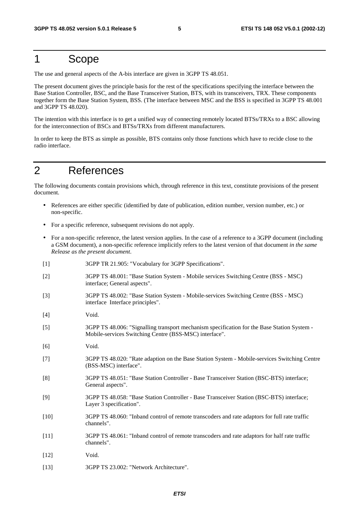# 1 Scope

The use and general aspects of the A-bis interface are given in 3GPP TS 48.051.

The present document gives the principle basis for the rest of the specifications specifying the interface between the Base Station Controller, BSC, and the Base Transceiver Station, BTS, with its transceivers, TRX. These components together form the Base Station System, BSS. (The interface between MSC and the BSS is specified in 3GPP TS 48.001 and 3GPP TS 48.020).

The intention with this interface is to get a unified way of connecting remotely located BTSs/TRXs to a BSC allowing for the interconnection of BSCs and BTSs/TRXs from different manufacturers.

In order to keep the BTS as simple as possible, BTS contains only those functions which have to recide close to the radio interface.

# 2 References

The following documents contain provisions which, through reference in this text, constitute provisions of the present document.

- References are either specific (identified by date of publication, edition number, version number, etc.) or non-specific.
- For a specific reference, subsequent revisions do not apply.
- For a non-specific reference, the latest version applies. In the case of a reference to a 3GPP document (including a GSM document), a non-specific reference implicitly refers to the latest version of that document *in the same Release as the present document*.
- [1] 3GPP TR 21.905: "Vocabulary for 3GPP Specifications".
- [2] 3GPP TS 48.001: "Base Station System Mobile services Switching Centre (BSS MSC) interface; General aspects".
- [3] 3GPP TS 48.002: "Base Station System Mobile-services Switching Centre (BSS MSC) interface Interface principles".
- [4] Void.
- [5] 3GPP TS 48.006: "Signalling transport mechanism specification for the Base Station System Mobile-services Switching Centre (BSS-MSC) interface".
- [6] Void.
- [7] 3GPP TS 48.020: "Rate adaption on the Base Station System Mobile-services Switching Centre (BSS-MSC) interface".
- [8] 3GPP TS 48.051: "Base Station Controller Base Transceiver Station (BSC-BTS) interface; General aspects".
- [9] 3GPP TS 48.058: "Base Station Controller Base Transceiver Station (BSC-BTS) interface; Layer 3 specification".
- [10] 3GPP TS 48.060: "Inband control of remote transcoders and rate adaptors for full rate traffic channels".
- [11] 3GPP TS 48.061: "Inband control of remote transcoders and rate adaptors for half rate traffic channels".
- [12] Void.
- [13] 3GPP TS 23.002: "Network Architecture".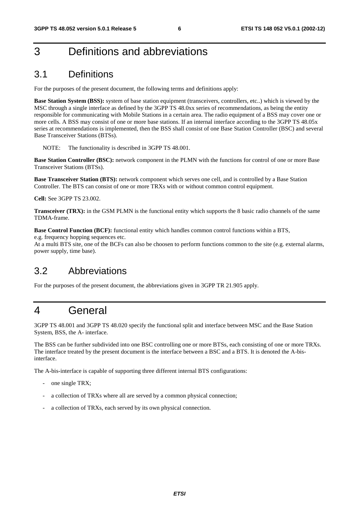# 3 Definitions and abbreviations

# 3.1 Definitions

For the purposes of the present document, the following terms and definitions apply:

**Base Station System (BSS):** system of base station equipment (transceivers, controllers, etc..) which is viewed by the MSC through a single interface as defined by the 3GPP TS 48.0xx series of recommendations, as being the entity responsible for communicating with Mobile Stations in a certain area. The radio equipment of a BSS may cover one or more cells. A BSS may consist of one or more base stations. If an internal interface according to the 3GPP TS 48.05x series at recommendations is implemented, then the BSS shall consist of one Base Station Controller (BSC) and several Base Transceiver Stations (BTSs).

NOTE: The functionality is described in 3GPP TS 48.001.

**Base Station Controller (BSC):** network component in the PLMN with the functions for control of one or more Base Transceiver Stations (BTSs).

**Base Transceiver Station (BTS):** network component which serves one cell, and is controlled by a Base Station Controller. The BTS can consist of one or more TRXs with or without common control equipment.

**Cell:** See 3GPP TS 23.002.

**Transceiver (TRX):** in the GSM PLMN is the functional entity which supports the 8 basic radio channels of the same TDMA-frame.

**Base Control Function (BCF):** functional entity which handles common control functions within a BTS,

e.g. frequency hopping sequences etc.

At a multi BTS site, one of the BCFs can also be choosen to perform functions common to the site (e.g. external alarms, power supply, time base).

# 3.2 Abbreviations

For the purposes of the present document, the abbreviations given in 3GPP TR 21.905 apply.

# 4 General

3GPP TS 48.001 and 3GPP TS 48.020 specify the functional split and interface between MSC and the Base Station System, BSS, the A- interface.

The BSS can be further subdivided into one BSC controlling one or more BTSs, each consisting of one or more TRXs. The interface treated by the present document is the interface between a BSC and a BTS. It is denoted the A-bisinterface.

The A-bis-interface is capable of supporting three different internal BTS configurations:

- one single TRX;
- a collection of TRXs where all are served by a common physical connection;
- a collection of TRXs, each served by its own physical connection.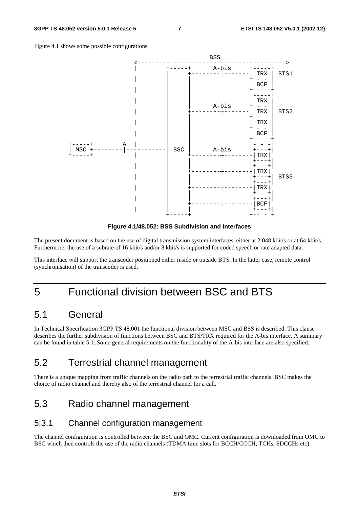Figure 4.1 shows some possible configurations.



**Figure 4.1/48.052: BSS Subdivision and Interfaces** 

The present document is based on the use of digital transmission system interfaces, either at 2 048 kbit/s or at 64 kbit/s. Furthermore, the use of a subrate of 16 kbit/s and/or 8 kbit/s is supported for coded speech or rate adapted data.

This interface will support the transcoder positioned either inside or outside BTS. In the latter case, remote control (synchronisation) of the transcoder is used.

# 5 Functional division between BSC and BTS

# 5.1 General

In Technical Specification 3GPP TS 48.001 the functional division between MSC and BSS is described. This clause describes the further subdivision of functions between BSC and BTS/TRX required for the A-bis interface. A summary can be found in table 5.1. Some general requirements on the functionality of the A-bis interface are also specified.

# 5.2 Terrestrial channel management

There is a unique mapping from traffic channels on the radio path to the terrestrial traffic channels. BSC makes the choice of radio channel and thereby also of the terrestrial channel for a call.

# 5.3 Radio channel management

#### 5.3.1 Channel configuration management

The channel configuration is controlled between the BSC and OMC. Current configuration is downloaded from OMC to BSC which then controls the use of the radio channels (TDMA time slots for BCCH/CCCH, TCHs, SDCCHs etc).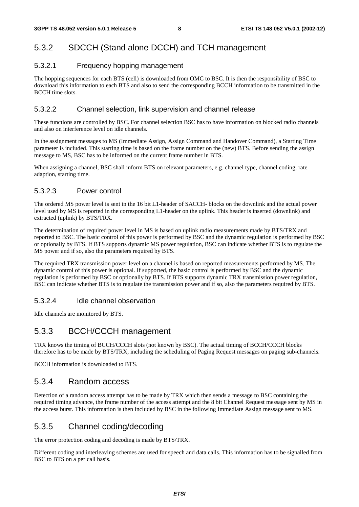## 5.3.2 SDCCH (Stand alone DCCH) and TCH management

#### 5.3.2.1 Frequency hopping management

The hopping sequences for each BTS (cell) is downloaded from OMC to BSC. It is then the responsibility of BSC to download this information to each BTS and also to send the corresponding BCCH information to be transmitted in the BCCH time slots.

#### 5.3.2.2 Channel selection, link supervision and channel release

These functions are controlled by BSC. For channel selection BSC has to have information on blocked radio channels and also on interference level on idle channels.

In the assignment messages to MS (Immediate Assign, Assign Command and Handover Command), a Starting Time parameter is included. This starting time is based on the frame number on the (new) BTS. Before sending the assign message to MS, BSC has to be informed on the current frame number in BTS.

When assigning a channel, BSC shall inform BTS on relevant parameters, e.g. channel type, channel coding, rate adaption, starting time.

#### 5.3.2.3 Power control

The ordered MS power level is sent in the 16 bit L1-header of SACCH- blocks on the downlink and the actual power level used by MS is reported in the corresponding L1-header on the uplink. This header is inserted (downlink) and extracted (uplink) by BTS/TRX.

The determination of required power level in MS is based on uplink radio measurements made by BTS/TRX and reported to BSC. The basic control of this power is performed by BSC and the dynamic regulation is performed by BSC or optionally by BTS. If BTS supports dynamic MS power regulation, BSC can indicate whether BTS is to regulate the MS power and if so, also the parameters required by BTS.

The required TRX transmission power level on a channel is based on reported measurements performed by MS. The dynamic control of this power is optional. If supported, the basic control is performed by BSC and the dynamic regulation is performed by BSC or optionally by BTS. If BTS supports dynamic TRX transmission power regulation, BSC can indicate whether BTS is to regulate the transmission power and if so, also the parameters required by BTS.

#### 5.3.2.4 Idle channel observation

Idle channels are monitored by BTS.

### 5.3.3 BCCH/CCCH management

TRX knows the timing of BCCH/CCCH slots (not known by BSC). The actual timing of BCCH/CCCH blocks therefore has to be made by BTS/TRX, including the scheduling of Paging Request messages on paging sub-channels.

BCCH information is downloaded to BTS.

### 5.3.4 Random access

Detection of a random access attempt has to be made by TRX which then sends a message to BSC containing the required timing advance, the frame number of the access attempt and the 8 bit Channel Request message sent by MS in the access burst. This information is then included by BSC in the following Immediate Assign message sent to MS.

### 5.3.5 Channel coding/decoding

The error protection coding and decoding is made by BTS/TRX.

Different coding and interleaving schemes are used for speech and data calls. This information has to be signalled from BSC to BTS on a per call basis.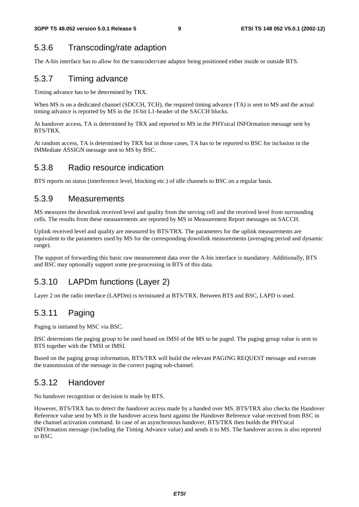### 5.3.6 Transcoding/rate adaption

The A-bis interface has to allow for the transcoder/rate adaptor being positioned either inside or outside BTS.

### 5.3.7 Timing advance

Timing advance has to be determined by TRX.

When MS is on a dedicated channel (SDCCH, TCH), the required timing advance (TA) is sent to MS and the actual timing advance is reported by MS in the 16 bit L1-header of the SACCH blocks.

At handover access, TA is determined by TRX and reported to MS in the PHYsical INFOrmation message sent by BTS/TRX.

At random access, TA is determined by TRX but in those cases, TA has to be reported to BSC for inclusion in the IMMediate ASSIGN message sent to MS by BSC.

#### 5.3.8 Radio resource indication

BTS reports on status (interference level, blocking etc.) of idle channels to BSC on a regular basis.

#### 5.3.9 Measurements

MS measures the downlink received level and quality from the serving cell and the received level from surrounding cells. The results from these measurements are reported by MS in Measurement Report messages on SACCH.

Uplink received level and quality are measured by BTS/TRX. The parameters for the uplink measurements are equivalent to the parameters used by MS for the corresponding downlink measurements (averaging period and dynamic range).

The support of forwarding this basic raw measurement data over the A-bis interface is mandatory. Additionally, BTS and BSC may optionally support some pre-processing in BTS of this data.

### 5.3.10 LAPDm functions (Layer 2)

Layer 2 on the radio interface (LAPDm) is terminated at BTS/TRX. Between BTS and BSC, LAPD is used.

### 5.3.11 Paging

Paging is initiated by MSC via BSC.

BSC determines the paging group to be used based on IMSI of the MS to be paged. The paging group value is sent to BTS together with the TMSI or IMSI.

Based on the paging group information, BTS/TRX will build the relevant PAGING REQUEST message and execute the transmission of the message in the correct paging sub-channel.

### 5.3.12 Handover

No handover recognition or decision is made by BTS.

However, BTS/TRX has to detect the handover access made by a handed over MS. BTS/TRX also checks the Handover Reference value sent by MS in the handover access burst against the Handover Reference value received from BSC in the channel activation command. In case of an asynchronous handover, BTS/TRX then builds the PHYsical INFOrmation message (including the Timing Advance value) and sends it to MS. The handover access is also reported to BSC.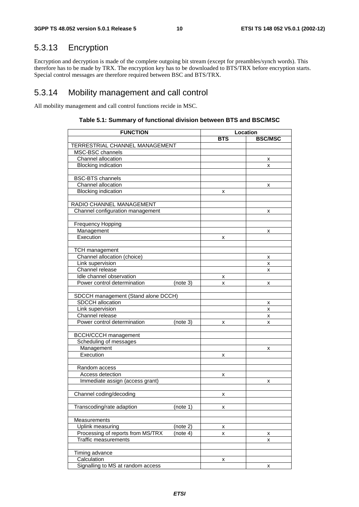# 5.3.13 Encryption

Encryption and decryption is made of the complete outgoing bit stream (except for preambles/synch words). This therefore has to be made by TRX. The encryption key has to be downloaded to BTS/TRX before encryption starts. Special control messages are therefore required between BSC and BTS/TRX.

### 5.3.14 Mobility management and call control

All mobility management and call control functions recide in MSC.

| <b>FUNCTION</b>                     | Location |            |                |
|-------------------------------------|----------|------------|----------------|
|                                     |          | <b>BTS</b> | <b>BSC/MSC</b> |
| TERRESTRIAL CHANNEL MANAGEMENT      |          |            |                |
| MSC-BSC channels                    |          |            |                |
| Channel allocation                  |          |            | х              |
| <b>Blocking indication</b>          |          |            | x              |
|                                     |          |            |                |
| <b>BSC-BTS</b> channels             |          |            |                |
| Channel allocation                  |          |            | х              |
| <b>Blocking indication</b>          |          | x          |                |
|                                     |          |            |                |
| RADIO CHANNEL MANAGEMENT            |          |            |                |
| Channel configuration management    |          |            | x              |
|                                     |          |            |                |
| <b>Frequency Hopping</b>            |          |            |                |
| Management<br>Execution             |          |            | x              |
|                                     |          | x          |                |
| <b>TCH</b> management               |          |            |                |
| Channel allocation (choice)         |          |            | x              |
| Link supervision                    |          |            | x              |
| Channel release                     |          |            | x              |
| Idle channel observation            |          | х          |                |
| Power control determination         | (note 3) | x          | x              |
|                                     |          |            |                |
| SDCCH management (Stand alone DCCH) |          |            |                |
| <b>SDCCH</b> allocation             |          |            | x              |
| Link supervision                    |          |            | x              |
| Channel release                     |          |            | x              |
| Power control determination         | (note 3) | х          | х              |
|                                     |          |            |                |
| <b>BCCH/CCCH</b> management         |          |            |                |
| Scheduling of messages              |          |            |                |
| Management                          |          |            | x              |
| Execution                           |          | x          |                |
|                                     |          |            |                |
| Random access                       |          |            |                |
| Access detection                    |          | х          |                |
| Immediate assign (access grant)     |          |            | x              |
|                                     |          |            |                |
| Channel coding/decoding             |          | x          |                |
|                                     |          |            |                |
| Transcoding/rate adaption           | (note 1) | х          |                |
| Measurements                        |          |            |                |
| Uplink measuring                    | (note 2) |            |                |
| Processing of reports from MS/TRX   | (note 4) | x<br>x     |                |
| <b>Traffic measurements</b>         |          |            | х<br>x         |
|                                     |          |            |                |
| Timing advance                      |          |            |                |
| Calculation                         |          | x          |                |
| Signalling to MS at random access   |          | x          |                |

#### **Table 5.1: Summary of functional division between BTS and BSC/MSC**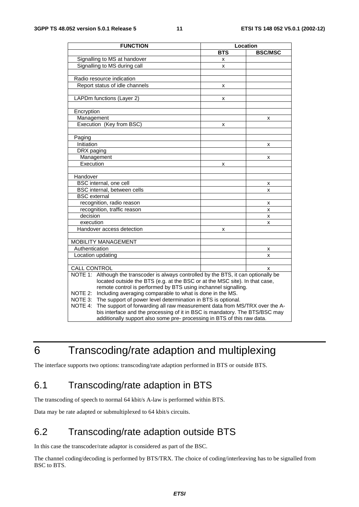| <b>FUNCTION</b>                                                                          | Location   |                |  |  |
|------------------------------------------------------------------------------------------|------------|----------------|--|--|
|                                                                                          | <b>BTS</b> | <b>BSC/MSC</b> |  |  |
| Signalling to MS at handover                                                             | x          |                |  |  |
| Signalling to MS during call                                                             | x          |                |  |  |
|                                                                                          |            |                |  |  |
| Radio resource indication                                                                |            |                |  |  |
| Report status of idle channels                                                           | x          |                |  |  |
|                                                                                          |            |                |  |  |
| LAPDm functions (Layer 2)                                                                | x          |                |  |  |
|                                                                                          |            |                |  |  |
| Encryption                                                                               |            |                |  |  |
| Management                                                                               |            | x              |  |  |
| Execution (Key from BSC)                                                                 | x          |                |  |  |
|                                                                                          |            |                |  |  |
| Paging                                                                                   |            |                |  |  |
| Initiation                                                                               |            | x              |  |  |
| DRX paging                                                                               |            |                |  |  |
| Management                                                                               |            | x              |  |  |
| Execution                                                                                | x          |                |  |  |
|                                                                                          |            |                |  |  |
| Handover                                                                                 |            |                |  |  |
| BSC internal, one cell                                                                   |            | x              |  |  |
| BSC internal, between cells                                                              |            | X              |  |  |
| <b>BSC</b> external                                                                      |            |                |  |  |
| recognition, radio reason                                                                |            | x              |  |  |
| recognition, traffic reason                                                              |            | X              |  |  |
| decision                                                                                 |            | X              |  |  |
| execution                                                                                |            | x              |  |  |
| Handover access detection                                                                | x          |                |  |  |
|                                                                                          |            |                |  |  |
| <b>MOBILITY MANAGEMENT</b>                                                               |            |                |  |  |
| Authentication                                                                           |            | x              |  |  |
| Location updating                                                                        |            | x              |  |  |
|                                                                                          |            |                |  |  |
| CALL CONTROL                                                                             |            | x              |  |  |
| NOTE 1:<br>Although the transcoder is always controlled by the BTS, it can optionally be |            |                |  |  |
| located outside the BTS (e.g. at the BSC or at the MSC site). In that case,              |            |                |  |  |
| remote control is performed by BTS using inchannel signalling.                           |            |                |  |  |
| Including averaging comparable to what is done in the MS.<br>NOTE 2:                     |            |                |  |  |
| The support of power level determination in BTS is optional.<br>NOTE 3:                  |            |                |  |  |
| NOTE 4:<br>The support of forwarding all raw measurement data from MS/TRX over the A-    |            |                |  |  |
| bis interface and the processing of it in BSC is mandatory. The BTS/BSC may              |            |                |  |  |
| additionally support also some pre- processing in BTS of this raw data.                  |            |                |  |  |

# 6 Transcoding/rate adaption and multiplexing

The interface supports two options: transcoding/rate adaption performed in BTS or outside BTS.

# 6.1 Transcoding/rate adaption in BTS

The transcoding of speech to normal 64 kbit/s A-law is performed within BTS.

Data may be rate adapted or submultiplexed to 64 kbit/s circuits.

# 6.2 Transcoding/rate adaption outside BTS

In this case the transcoder/rate adaptor is considered as part of the BSC.

The channel coding/decoding is performed by BTS/TRX. The choice of coding/interleaving has to be signalled from BSC to BTS.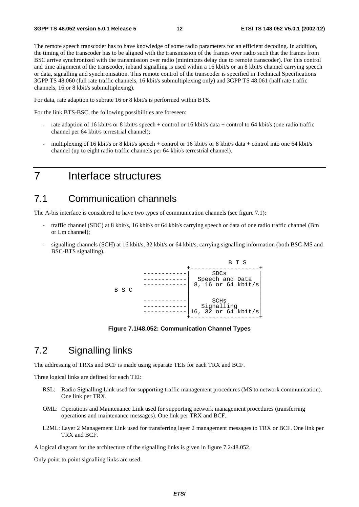The remote speech transcoder has to have knowledge of some radio parameters for an efficient decoding. In addition, the timing of the transcoder has to be aligned with the transmission of the frames over radio such that the frames from BSC arrive synchronized with the transmission over radio (minimizes delay due to remote transcoder). For this control and time alignment of the transcoder, inband signalling is used within a 16 kbit/s or an 8 kbit/s channel carrying speech or data, signalling and synchronisation. This remote control of the transcoder is specified in Technical Specifications 3GPP TS 48.060 (full rate traffic channels, 16 kbit/s submultiplexing only) and 3GPP TS 48.061 (half rate traffic channels, 16 or 8 kbit/s submultiplexing).

For data, rate adaption to subrate 16 or 8 kbit/s is performed within BTS.

For the link BTS-BSC, the following possibilities are foreseen:

- rate adaption of 16 kbit/s or 8 kbit/s speech + control or 16 kbit/s data + control to 64 kbit/s (one radio traffic channel per 64 kbit/s terrestrial channel);
- multiplexing of 16 kbit/s or 8 kbit/s speech + control or 16 kbit/s or 8 kbit/s data + control into one 64 kbit/s channel (up to eight radio traffic channels per 64 kbit/s terrestrial channel).

# 7 Interface structures

### 7.1 Communication channels

The A-bis interface is considered to have two types of communication channels (see figure 7.1):

- traffic channel (SDC) at 8 kbit/s, 16 kbit/s or 64 kbit/s carrying speech or data of one radio traffic channel (Bm or Lm channel);
- signalling channels (SCH) at 16 kbit/s, 32 kbit/s or 64 kbit/s, carrying signalling information (both BSC-MS and BSC-BTS signalling).



**Figure 7.1/48.052: Communication Channel Types** 

# 7.2 Signalling links

The addressing of TRXs and BCF is made using separate TEIs for each TRX and BCF.

Three logical links are defined for each TEI:

- RSL: Radio Signalling Link used for supporting traffic management procedures (MS to network communication). One link per TRX.
- OML: Operations and Maintenance Link used for supporting network management procedures (transferring operations and maintenance messages). One link per TRX and BCF.
- L2ML: Layer 2 Management Link used for transferring layer 2 management messages to TRX or BCF. One link per TRX and BCF.

A logical diagram for the architecture of the signalling links is given in figure 7.2/48.052.

Only point to point signalling links are used.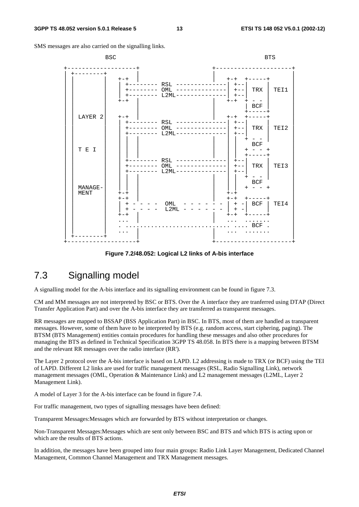SMS messages are also carried on the signalling links.



**Figure 7.2/48.052: Logical L2 links of A-bis interface** 

# 7.3 Signalling model

A signalling model for the A-bis interface and its signalling environment can be found in figure 7.3.

CM and MM messages are not interpreted by BSC or BTS. Over the A interface they are tranferred using DTAP (Direct Transfer Application Part) and over the A-bis interface they are transferred as transparent messages.

RR messages are mapped to BSSAP (BSS Application Part) in BSC. In BTS, most of them are handled as transparent messages. However, some of them have to be interpreted by BTS (e.g. random access, start ciphering, paging). The BTSM (BTS Management) entities contain procedures for handling these messages and also other procedures for managing the BTS as defined in Technical Specification 3GPP TS 48.058. In BTS there is a mapping between BTSM and the relevant RR messages over the radio interface (RR').

The Layer 2 protocol over the A-bis interface is based on LAPD. L2 addressing is made to TRX (or BCF) using the TEI of LAPD. Different L2 links are used for traffic management messages (RSL, Radio Signalling Link), network management messages (OML, Operation & Maintenance Link) and L2 management messages (L2ML, Layer 2 Management Link).

A model of Layer 3 for the A-bis interface can be found in figure 7.4.

For traffic management, two types of signalling messages have been defined:

Transparent Messages:Messages which are forwarded by BTS without interpretation or changes.

Non-Transparent Messages:Messages which are sent only between BSC and BTS and which BTS is acting upon or which are the results of BTS actions.

In addition, the messages have been grouped into four main groups: Radio Link Layer Management, Dedicated Channel Management, Common Channel Management and TRX Management messages.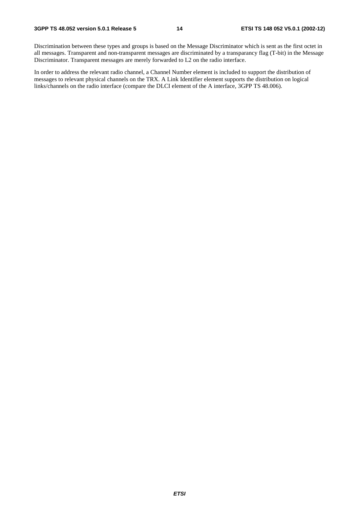Discrimination between these types and groups is based on the Message Discriminator which is sent as the first octet in all messages. Transparent and non-transparent messages are discriminated by a transparancy flag (T-bit) in the Message Discriminator. Transparent messages are merely forwarded to L2 on the radio interface.

In order to address the relevant radio channel, a Channel Number element is included to support the distribution of messages to relevant physical channels on the TRX. A Link Identifier element supports the distribution on logical links/channels on the radio interface (compare the DLCI element of the A interface, 3GPP TS 48.006).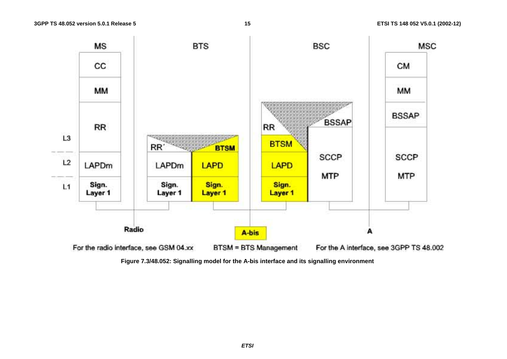

**Figure 7.3/48.052: Signalling model for the A-bis interface and its signalling environment**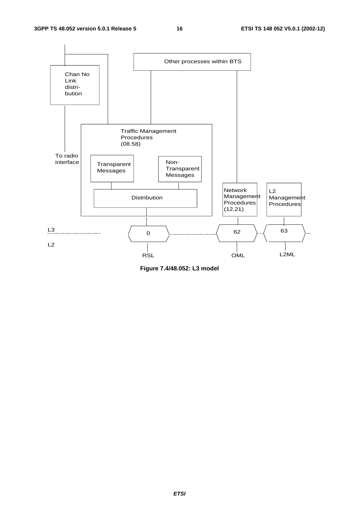

**Figure 7.4/48.052: L3 model**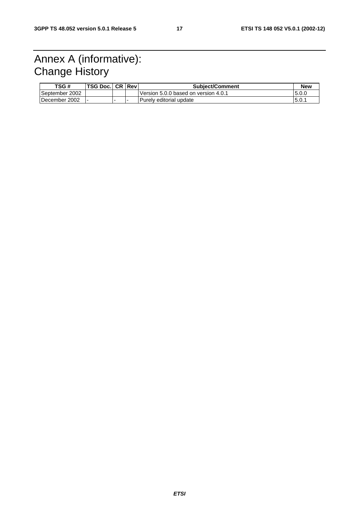# Annex A (informative): Change History

| TSG#           | <b>TSG Doc. CR Reville</b> |  | <b>Subject/Comment</b>               | <b>New</b> |
|----------------|----------------------------|--|--------------------------------------|------------|
| September 2002 |                            |  | Version 5.0.0 based on version 4.0.1 | 15.0.0     |
| December 2002  |                            |  | Purely editorial update              | 15.0.      |